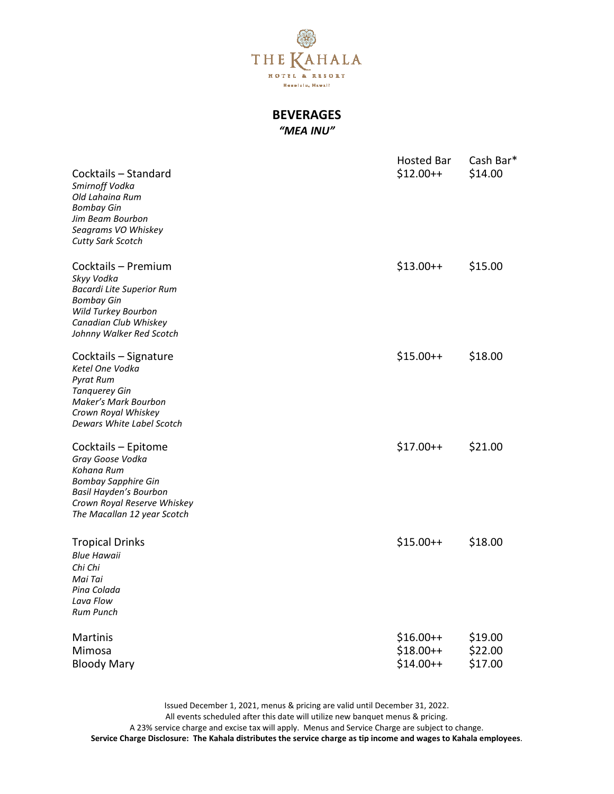

## BEVERAGES "MEA INU"

| Cocktails - Standard<br>Smirnoff Vodka<br>Old Lahaina Rum<br><b>Bombay Gin</b><br>Jim Beam Bourbon<br>Seagrams VO Whiskey<br><b>Cutty Sark Scotch</b>                       | <b>Hosted Bar</b><br>$$12.00++$        | Cash Bar*<br>\$14.00          |
|-----------------------------------------------------------------------------------------------------------------------------------------------------------------------------|----------------------------------------|-------------------------------|
| Cocktails - Premium<br>Skyy Vodka<br><b>Bacardi Lite Superior Rum</b><br><b>Bombay Gin</b><br>Wild Turkey Bourbon<br>Canadian Club Whiskey<br>Johnny Walker Red Scotch      | $$13.00++$                             | \$15.00                       |
| Cocktails - Signature<br>Ketel One Vodka<br><b>Pyrat Rum</b><br><b>Tanquerey Gin</b><br>Maker's Mark Bourbon<br>Crown Royal Whiskey<br>Dewars White Label Scotch            | $$15.00++$                             | \$18.00                       |
| Cocktails - Epitome<br>Gray Goose Vodka<br>Kohana Rum<br><b>Bombay Sapphire Gin</b><br>Basil Hayden's Bourbon<br>Crown Royal Reserve Whiskey<br>The Macallan 12 year Scotch | $$17.00++$                             | \$21.00                       |
| <b>Tropical Drinks</b><br><b>Blue Hawaii</b><br>Chi Chi<br>Mai Tai<br>Pina Colada<br>Lava Flow<br><b>Rum Punch</b>                                                          | $$15.00++$                             | \$18.00                       |
| Martinis<br>Mimosa<br><b>Bloody Mary</b>                                                                                                                                    | $$16.00++$<br>$$18.00++$<br>$$14.00++$ | \$19.00<br>\$22.00<br>\$17.00 |

Issued December 1, 2021, menus & pricing are valid until December 31, 2022. All events scheduled after this date will utilize new banquet menus & pricing. A 23% service charge and excise tax will apply. Menus and Service Charge are subject to change. Service Charge Disclosure: The Kahala distributes the service charge as tip income and wages to Kahala employees.